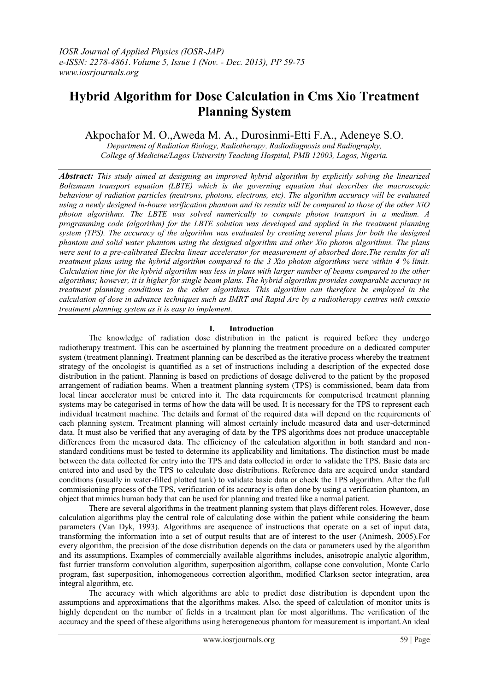# **Hybrid Algorithm for Dose Calculation in Cms Xio Treatment Planning System**

Akpochafor M. O.,Aweda M. A., Durosinmi-Etti F.A., Adeneye S.O.

*Department of Radiation Biology, Radiotherapy, Radiodiagnosis and Radiography, College of Medicine/Lagos University Teaching Hospital, PMB 12003, Lagos, Nigeria.*

*Abstract: This study aimed at designing an improved hybrid algorithm by explicitly solving the linearized Boltzmann transport equation (LBTE) which is the governing equation that describes the macroscopic behaviour of radiation particles (neutrons, photons, electrons, etc). The algorithm accuracy will be evaluated using a newly designed in-house verification phantom and its results will be compared to those of the other XiO photon algorithms. The LBTE was solved numerically to compute photon transport in a medium. A programming code (algorithm) for the LBTE solution was developed and applied in the treatment planning system (TPS). The accuracy of the algorithm was evaluated by creating several plans for both the designed phantom and solid water phantom using the designed algorithm and other Xio photon algorithms. The plans were sent to a pre-calibrated Eleckta linear accelerator for measurement of absorbed dose.The results for all treatment plans using the hybrid algorithm compared to the 3 Xio photon algorithms were within 4 % limit. Calculation time for the hybrid algorithm was less in plans with larger number of beams compared to the other algorithms; however, it is higher for single beam plans. The hybrid algorithm provides comparable accuracy in treatment planning conditions to the other algorithms. This algorithm can therefore be employed in the calculation of dose in advance techniques such as IMRT and Rapid Arc by a radiotherapy centres with cmsxio treatment planning system as it is easy to implement.*

# **I. Introduction**

The knowledge of radiation dose distribution in the patient is required before they undergo radiotherapy treatment. This can be ascertained by planning the treatment procedure on a dedicated computer system (treatment planning). Treatment planning can be described as the iterative process whereby the treatment strategy of the oncologist is quantified as a set of instructions including a description of the expected dose distribution in the patient. Planning is based on predictions of dosage delivered to the patient by the proposed arrangement of radiation beams. When a treatment planning system (TPS) is commissioned, beam data from local linear accelerator must be entered into it. The data requirements for computerised treatment planning systems may be categorised in terms of how the data will be used. It is necessary for the TPS to represent each individual treatment machine. The details and format of the required data will depend on the requirements of each planning system. Treatment planning will almost certainly include measured data and user-determined data. It must also be verified that any averaging of data by the TPS algorithms does not produce unacceptable differences from the measured data. The efficiency of the calculation algorithm in both standard and nonstandard conditions must be tested to determine its applicability and limitations. The distinction must be made between the data collected for entry into the TPS and data collected in order to validate the TPS. Basic data are entered into and used by the TPS to calculate dose distributions. Reference data are acquired under standard conditions (usually in water-filled plotted tank) to validate basic data or check the TPS algorithm. After the full commissioning process of the TPS, verification of its accuracy is often done by using a verification phantom, an object that mimics human body that can be used for planning and treated like a normal patient.

There are several algorithms in the treatment planning system that plays different roles. However, dose calculation algorithms play the central role of calculating dose within the patient while considering the beam parameters (Van Dyk, 1993). Algorithms are asequence of instructions that operate on a set of input data, transforming the information into a set of output results that are of interest to the user (Animesh, 2005).For every algorithm, the precision of the dose distribution depends on the data or parameters used by the algorithm and its assumptions. Examples of commercially available algorithms includes, anisotropic analytic algorithm, fast furrier transform convolution algorithm, superposition algorithm, collapse cone convolution, Monte Carlo program, fast superposition, inhomogeneous correction algorithm, modified Clarkson sector integration, area integral algorithm, etc.

The accuracy with which algorithms are able to predict dose distribution is dependent upon the assumptions and approximations that the algorithms makes. Also, the speed of calculation of monitor units is highly dependent on the number of fields in a treatment plan for most algorithms. The verification of the accuracy and the speed of these algorithms using heterogeneous phantom for measurement is important.An ideal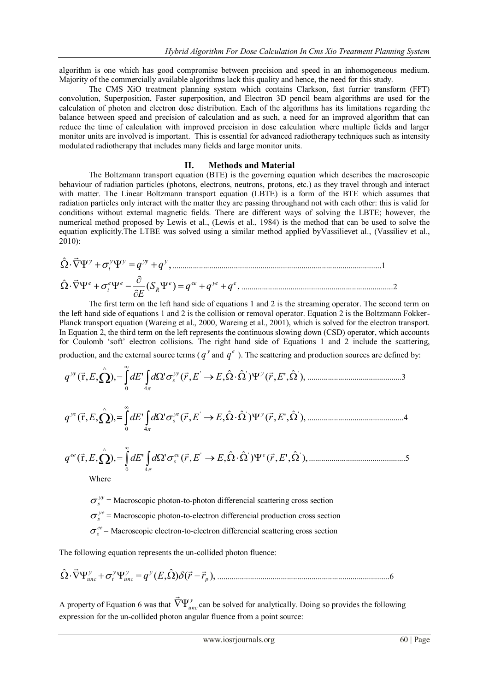algorithm is one which has good compromise between precision and speed in an inhomogeneous medium. Majority of the commercially available algorithms lack this quality and hence, the need for this study.

The CMS XiO treatment planning system which contains Clarkson, fast furrier transform (FFT) convolution, Superposition, Faster superposition, and Electron 3D pencil beam algorithms are used for the calculation of photon and electron dose distribution. Each of the algorithms has its limitations regarding the balance between speed and precision of calculation and as such, a need for an improved algorithm that can reduce the time of calculation with improved precision in dose calculation where multiple fields and larger monitor units are involved is important. This is essential for advanced radiotherapy techniques such as intensity modulated radiotherapy that includes many fields and large monitor units.

### **II. Methods and Material**

The Boltzmann transport equation (BTE) is the governing equation which describes the macroscopic behaviour of radiation particles (photons, electrons, neutrons, protons, etc.) as they travel through and interact with matter. The Linear Boltzmann transport equation (LBTE) is a form of the BTE which assumes that radiation particles only interact with the matter they are passing throughand not with each other: this is valid for conditions without external magnetic fields. There are different ways of solving the LBTE; however, the numerical method proposed by Lewis et al., (Lewis et al., 1984) is the method that can be used to solve the equation explicitly.The LTBE was solved using a similar method applied byVassilievet al., (Vassiliev et al., 2010):

, ˆ *y y yy y t <sup>y</sup> q q* ......................................................................................................1 ( ) , ˆ *e ee ye e R e e t e S q q q E* ..........................................................................2

The first term on the left hand side of equations 1 and 2 is the streaming operator. The second term on the left hand side of equations 1 and 2 is the collision or removal operator. Equation 2 is the Boltzmann Fokker-Planck transport equation (Wareing et al., 2000, Wareing et al., 2001), which is solved for the electron transport. In Equation 2, the third term on the left represents the continuous slowing down (CSD) operator, which accounts for Coulomb 'soft' electron collisions. The right hand side of Equations 1 and 2 include the scattering, production, and the external source terms ( $q^{\nu}$  and  $q^e$ ). The scattering and production sources are defined by:

$$
q^{\mathcal{V}'}(\vec{r},E,\hat{\Omega}) = \int_{0}^{\infty} dE' \int_{4\pi} d\Omega' \sigma_s^{\mathcal{V}'}(\vec{r},E' \to E,\hat{\Omega}\cdot\hat{\Omega}') \Psi^{\mathcal{V}}(\vec{r},E',\hat{\Omega}'),
$$

$$
q^{\nu e}(\vec{r}, E, \hat{\Omega}) = \int_{0}^{\infty} dE' \int_{4\pi} d\Omega' \sigma_s^{\nu e}(\vec{r}, E' \to E, \hat{\Omega} \cdot \hat{\Omega}') \Psi^{\nu}(\vec{r}, E', \hat{\Omega}'), \dots
$$

$$
q^{ee}(\vec{r}, E, \hat{\Omega}) = \int_{0}^{\infty} dE' \int_{4\pi} d\Omega' \sigma_s^{ee}(\vec{r}, E' \to E, \hat{\Omega} \cdot \hat{\Omega}') \Psi^{e}(\vec{r}, E', \hat{\Omega}'),
$$

Where

 $\sigma_s^{yy}$  = Macroscopic photon-to-photon differencial scattering cross section

 $\sigma_s^{\gamma e}$  = Macroscopic photon-to-electron differencial production cross section

 $\sigma_s^{ee}$  = Macroscopic electron-to-electron differencial scattering cross section

The following equation represents the un-collided photon fluence:

) ( ), ˆ ( , ˆ *p y y unc y t y unc q E r r* ....................................................................................6

A property of Equation 6 was that  $\vec{\nabla} \Psi_{unc}^{y}$  $\rightarrow$ can be solved for analytically. Doing so provides the following expression for the un-collided photon angular fluence from a point source: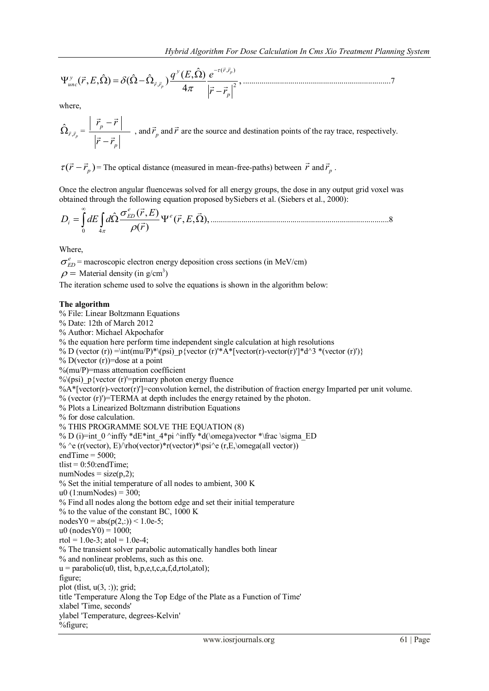$$
\Psi_{unc}^{\mathcal{Y}}(\vec{r},E,\hat{\Omega}) = \delta(\hat{\Omega} - \hat{\Omega}_{\vec{r},\vec{r}_p}) \frac{q^{\mathcal{Y}}(E,\hat{\Omega})}{4\pi} \frac{e^{-\tau(\vec{r},\vec{r}_p)}}{|\vec{r}-\vec{r}_p|^2},
$$

where,

$$
\hat{\Omega}_{\vec{r}, \vec{r}_p} = \frac{\left| \vec{r}_p - \vec{r} \right|}{\left| \vec{r} - \vec{r}_p \right|}
$$
, and  $\vec{r}$  and  $\vec{r}$  are the source and destination points of the ray trace, respectively.

 $\tau(\vec{r} - \vec{r}_p)$  = The optical distance (measured in mean-free-paths) between  $\vec{r}$  and  $\vec{r}_p$ .

Once the electron angular fluencewas solved for all energy groups, the dose in any output grid voxel was obtained through the following equation proposed bySiebers et al. (Siebers et al., 2000):

$$
D_i = \int_0^\infty dE \int_{4\pi} d\hat{\Omega} \frac{\sigma_{ED}^e(\vec{r}, E)}{\rho(\vec{r})} \Psi^e(\vec{r}, E, \vec{\Omega}), \dots
$$

Where,

 $\sigma_{ED}^e$  = macroscopic electron energy deposition cross sections (in MeV/cm)  $\rho$  = Material density (in g/cm<sup>3</sup>)

The iteration scheme used to solve the equations is shown in the algorithm below:

#### **The algorithm**

% File: Linear Boltzmann Equations % Date: 12th of March 2012 % Author: Michael Akpochafor % the equation here perform time independent single calculation at high resolutions % D (vector (r)) =\int(mu/P)\*\(psi) p{vector (r)'\*A\*[vector(r)-vector(r)']\*d^3 \*(vector (r)')} % D(vector  $(r)$ )=dose at a point  $%$ (mu/P)=mass attenuation coefficient % $\Diamond$ (psi) p{vector (r)'=primary photon energy fluence  $\%A^*$ [vector(r)-vector(r)']=convolution kernel, the distribution of fraction energy Imparted per unit volume. % (vector (r)')=TERMA at depth includes the energy retained by the photon. % Plots a Linearized Boltzmann distribution Equations % for dose calculation. % THIS PROGRAMME SOLVE THE EQUATION (8) % D (i)=int\_0 ^inffy \*dE\*int\_4\*pi ^inffy \*d(\omega)vector \*\frac \sigma\_ED % ^e (r(vector), E)/\rho(vector)\*r(vector)\*\psi^e (r,E,\omega(all vector)) endTime  $=$  5000; tlist =  $0:50$ : endTime;  $numNodes = size(p,2);$ % Set the initial temperature of all nodes to ambient, 300 K u0  $(1:numNodes) = 300$ ; % Find all nodes along the bottom edge and set their initial temperature % to the value of the constant BC, 1000 K  $nodesY0 = abs(p(2,)) \le 1.0e-5;$  $u0 \text{ (nodesY0)} = 1000;$ rtol = 1.0e-3; atol = 1.0e-4; % The transient solver parabolic automatically handles both linear % and nonlinear problems, such as this one.  $u = parabolic(u0, tlist, b, p, e, t, c, a, f, d, rtol, atol);$ figure; plot (tlist,  $u(3, :)$ ); grid; title 'Temperature Along the Top Edge of the Plate as a Function of Time' xlabel 'Time, seconds' ylabel 'Temperature, degrees-Kelvin' %figure;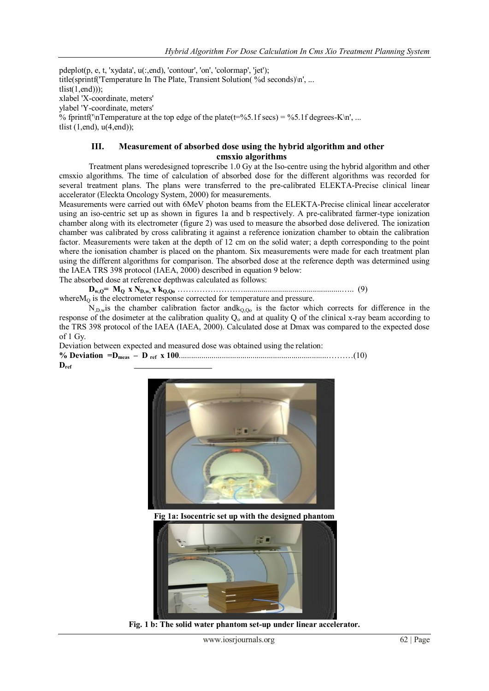pdeplot(p, e, t, 'xydata', u(:,end), 'contour', 'on', 'colormap', 'jet'); title(sprintf('Temperature In The Plate, Transient Solution( %d seconds)\n', ... tlist $(1, end)$ ); xlabel 'X-coordinate, meters' ylabel 'Y-coordinate, meters' % fprintf( $\ln$ Temperature at the top edge of the plate(t=%5.1f secs) = %5.1f degrees-K $\ln$ ', ... tlist  $(1, end)$ ,  $u(4, end)$ ;

# **III. Measurement of absorbed dose using the hybrid algorithm and other cmsxio algorithms**

Treatment plans weredesigned toprescribe 1.0 Gy at the Iso-centre using the hybrid algorithm and other cmsxio algorithms. The time of calculation of absorbed dose for the different algorithms was recorded for several treatment plans. The plans were transferred to the pre-calibrated ELEKTA-Precise clinical linear accelerator (Eleckta Oncology System, 2000) for measurements.

Measurements were carried out with 6MeV photon beams from the ELEKTA-Precise clinical linear accelerator using an iso-centric set up as shown in figures 1a and b respectively. A pre-calibrated farmer-type ionization chamber along with its electrometer (figure 2) was used to measure the absorbed dose delivered. The ionization chamber was calibrated by cross calibrating it against a reference ionization chamber to obtain the calibration factor. Measurements were taken at the depth of 12 cm on the solid water; a depth corresponding to the point where the ionisation chamber is placed on the phantom. Six measurements were made for each treatment plan using the different algorithms for comparison. The absorbed dose at the reference depth was determined using the IAEA TRS 398 protocol (IAEA, 2000) described in equation 9 below:

The absorbed dose at reference depthwas calculated as follows:

**Dw,Q= MQ x ND,w, x kQ,Qo** ……………………................................................….. (9) whereM<sub>0</sub> is the electrometer response corrected for temperature and pressure.

 $N_{,D,w}$  is the chamber calibration factor and  $k_{Q,Qo}$  is the factor which corrects for difference in the response of the dosimeter at the calibration quality  $Q_0$  and at quality Q of the clinical x-ray beam according to the TRS 398 protocol of the IAEA (IAEA, 2000). Calculated dose at Dmax was compared to the expected dose of 1 Gy.

Deviation between expected and measured dose was obtained using the relation: **% Deviation =Dmeas – D ref x 100**.........................................................................………(10) **Dref**



**Fig 1a: Isocentric set up with the designed phantom**



**Fig. 1 b: The solid water phantom set-up under linear accelerator.**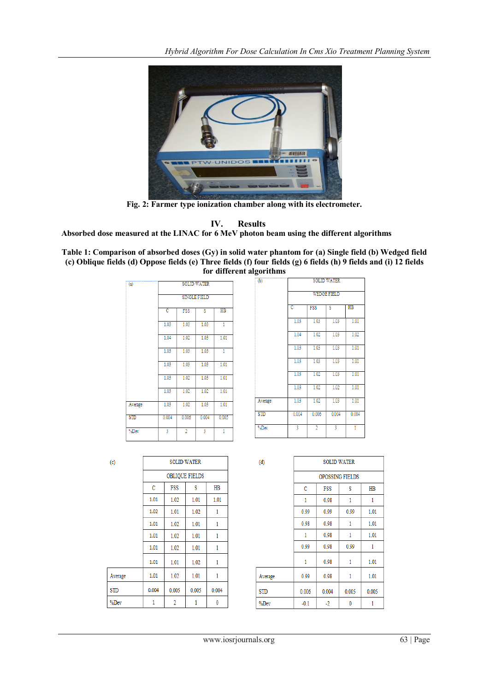

**Fig. 2: Farmer type ionization chamber along with its electrometer.**

**IV. Results**

**Absorbed dose measured at the LINAC for 6 MeV photon beam using the different algorithms**

**Table 1: Comparison of absorbed doses (Gy) in solid water phantom for (a) Single field (b) Wedged field (c) Oblique fields (d) Oppose fields (e) Three fields (f) four fields (g) 6 fields (h) 9 fields and (i) 12 fields for different algorithms**

| $\overline{a}$ | <b>SOLID WATER</b>    |                       |       |       |  |  |  |
|----------------|-----------------------|-----------------------|-------|-------|--|--|--|
|                | <b>SINGLE FIELD</b>   |                       |       |       |  |  |  |
|                | $\overline{\text{c}}$ | HB<br><b>FSS</b><br>s |       |       |  |  |  |
|                | 1.03                  | 1.03                  | 1.03  | ī     |  |  |  |
|                | 1.04                  | 1.02                  | 1.03  | 1.01  |  |  |  |
|                | 1.03                  | 1.03                  | 1.03  | 1     |  |  |  |
|                | 1.03                  | 1.03                  | 1.03  | 1.01  |  |  |  |
|                | 1.03                  | 1.02                  | 1.03  | 1.01  |  |  |  |
|                | 1.03                  | 1.02                  | 1.02  | 1.01  |  |  |  |
| Average        | 1.03                  | 1.02                  | 1.03  | 1.01  |  |  |  |
| <b>STD</b>     | 0.004                 | 0.006                 | 0.004 | 0.005 |  |  |  |
| %Dev           | 3                     | $\overline{2}$        | 3     | Ĭ.    |  |  |  |

| $\overline{(\mathfrak{b})}$ | <b>SOLID WATER</b> |                |       |       |  |
|-----------------------------|--------------------|----------------|-------|-------|--|
|                             | <b>WEDGE FIELD</b> |                |       |       |  |
|                             | c                  | <b>FSS</b>     | Ŝ     | HB    |  |
|                             | 1.03               | 1.03           | 1.03  | 1.01  |  |
|                             | 1.04               | 1.02           | 1.03  | 1.02  |  |
|                             | 1.03               | 1.03           | 1.03  | 1.01  |  |
|                             | 1.03               | 1.03           | 1.03  | 1.01  |  |
|                             | 1.03               | 1.02           | 1.03  | 1.01  |  |
|                             | 1.03               | 1.02           | 1.02  | 1.01  |  |
| Average                     | 1.03               | 1.02           | 1.03  | 1.01  |  |
| <b>STD</b>                  | 0.004              | 0.006          | 0.004 | 0.004 |  |
| %Dev                        | 3                  | $\overline{2}$ | 3     | 1     |  |

| (c)        | <b>SOLID WATER</b>    |       |       |       |
|------------|-----------------------|-------|-------|-------|
|            | <b>OBLIQUE FIELDS</b> |       |       |       |
|            | C                     | FSS   | S     | HB    |
|            | 1.01                  | 1.02  | 1.01  | 1.01  |
|            | 1.02                  | 1.01  | 1.02  | 1     |
|            | 1.01                  | 1.02  | 1.01  | 1     |
|            | 1.01                  | 1.02  | 1.01  | 1     |
|            | 1.01                  | 1.02  | 1.01  | 1     |
|            | 1.01                  | 1.01  | 1.02  | 1     |
| Average    | 1.01                  | 1.02  | 1.01  | 1     |
| <b>STD</b> | 0.004                 | 0.005 | 0.005 | 0.004 |
| %Dev       | 1                     | 2     | 1     | 0     |
|            |                       |       |       |       |

| (d)        | <b>SOLID WATER</b>        |                      |                        |       |  |  |  |
|------------|---------------------------|----------------------|------------------------|-------|--|--|--|
|            |                           |                      | <b>OPOSSING FIELDS</b> |       |  |  |  |
|            | C                         | FSS<br>S<br>$H\!B$   |                        |       |  |  |  |
|            | 1<br>1<br>0.98<br>1       |                      |                        |       |  |  |  |
|            | 0.99                      | 0.99<br>0.99<br>1.01 |                        |       |  |  |  |
|            | 1.01<br>0.98<br>0.98<br>1 |                      |                        |       |  |  |  |
|            | 1                         | 0.98                 | 1                      | 1.01  |  |  |  |
|            | 0.99                      | 0.98                 | 0.99                   | 1     |  |  |  |
|            | 1                         | 0.98                 | 1                      | 1.01  |  |  |  |
| Average    | 0.99                      | 0.98                 | 1                      | 1.01  |  |  |  |
| <b>STD</b> | 0.006                     | 0.004                | 0.005                  | 0.005 |  |  |  |
| %Dev       | $-0.1$                    | $-2$                 | 0                      | 1     |  |  |  |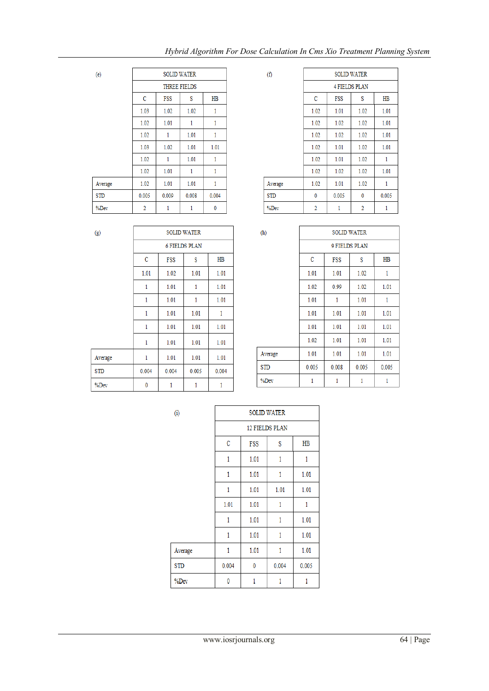# *Hybrid Algorithm For Dose Calculation In Cms Xio Treatment Planning System*

| (e)        | <b>SOLID WATER</b>  |       |       |       |
|------------|---------------------|-------|-------|-------|
|            | <b>THREE FIELDS</b> |       |       |       |
|            | $\mathbf C$         | FSS   | s     | HB    |
|            | 1.03                | 1.02  | 1.02  | 1     |
|            | 1.02                | 1.01  | 1     | 1     |
|            | 1.02                | 1     | 1.01  | 1     |
|            | 1.03                | 1.02  | 1.01  | 1.01  |
|            | 1.02                | 1     | 1.01  | 1     |
|            | 1.02                | 1.01  | 1     | 1     |
| Average    | 1.02                | 1.01  | 1.01  | 1     |
| <b>STD</b> | 0.005               | 0.009 | 0.008 | 0.004 |
| %Dev       | 2                   |       |       | 0     |

| (f)        | <b>SOLID WATER</b> |            |                      |       |
|------------|--------------------|------------|----------------------|-------|
|            |                    |            | <b>4 FIELDS PLAN</b> |       |
|            | C                  | <b>FSS</b> | S                    | HB    |
|            | 1.02               | 1.01       | 1.02                 | 1.01  |
|            | 1.02               | 1.02       | 1.02                 | 1.01  |
|            | 1.02               | 1.02       | 1.02                 | 1.01  |
|            | 1.02               | 1.01       | 1.02                 | 1.01  |
|            | 1.02               | 1.01       | 1.02                 | 1     |
|            | 1.02               | 1.02       | 1.02                 | 1.01  |
| Average    | 1.02               | 1.01       | 1.02                 | 1     |
| <b>STD</b> | 0                  | 0.005      | 0                    | 0.005 |
| %Dev       | $\overline{c}$     | 1          | 2                    | 1     |
|            |                    |            |                      |       |

| $\left( g\right)$ | <b>SOLID WATER</b> |       |                      |       |
|-------------------|--------------------|-------|----------------------|-------|
|                   |                    |       | <b>6 FIELDS PLAN</b> |       |
|                   | $\mathbf C$        | FSS   | s                    | HB    |
|                   | 1.01               | 1.02  | 1.01                 | 1.01  |
|                   | 1                  | 1.01  | 1                    | 1.01  |
|                   | 1                  | 1.01  | 1                    | 1.01  |
|                   | 1                  | 1.01  | 1.01                 | 1     |
|                   | 1                  | 1.01  | 1.01                 | 1.01  |
|                   | 1                  | 1.01  | 1.01                 | 1.01  |
| Average           | 1                  | 1.01  | 1.01                 | 1.01  |
| <b>STD</b>        | 0.004              | 0.004 | 0.005                | 0.004 |
| %Dev              | $\mathbf{0}$       | 1     | 1                    | 1     |
|                   |                    |       |                      |       |

| (h)        | <b>SOLID WATER</b> |                |       |       |  |  |  |
|------------|--------------------|----------------|-------|-------|--|--|--|
|            |                    | 9 FIELDS PLAN  |       |       |  |  |  |
|            | C                  | HB<br>FSS<br>s |       |       |  |  |  |
|            | 1.01               | 1.01           | 1.02  | 1     |  |  |  |
|            | 1.02               | 0.99           | 1.02  | 1.01  |  |  |  |
|            | 1.01               | 1              | 1.01  | 1     |  |  |  |
|            | 1.01               | 1.01           | 1.01  | 1.01  |  |  |  |
|            | 1.01               | 1.01           | 1.01  | 1.01  |  |  |  |
|            | 1.02               | 1.01           | 1.01  | 1.01  |  |  |  |
| Average    | 1.01               | 1.01           | 1.01  | 1.01  |  |  |  |
| <b>STD</b> | 0.005              | 0.008          | 0.005 | 0.005 |  |  |  |
| %Dev       | 1                  | 1              | 1     | 1     |  |  |  |

| $\left( i\right)$ | <b>SOLID WATER</b>    |      |       |                |  |  |
|-------------------|-----------------------|------|-------|----------------|--|--|
|                   | <b>12 FIELDS PLAN</b> |      |       |                |  |  |
|                   | C                     | FSS  | S     | H <sub>B</sub> |  |  |
|                   | 1                     | 1.01 | 1     | 1              |  |  |
|                   | 1                     | 1.01 | 1     | 1.01           |  |  |
|                   | 1                     | 1.01 | 1.01  | 1.01           |  |  |
|                   | 1.01                  | 1.01 | 1     | 1              |  |  |
|                   | 1                     | 1.01 | 1     | 1.01           |  |  |
|                   | 1                     | 1.01 | 1     | 1.01           |  |  |
| Average           | 1                     | 1.01 | 1     | 1.01           |  |  |
| <b>STD</b>        | 0.004                 | 0    | 0.004 | 0.005          |  |  |
| %Dev              | 0                     | 1    | 1     | 1              |  |  |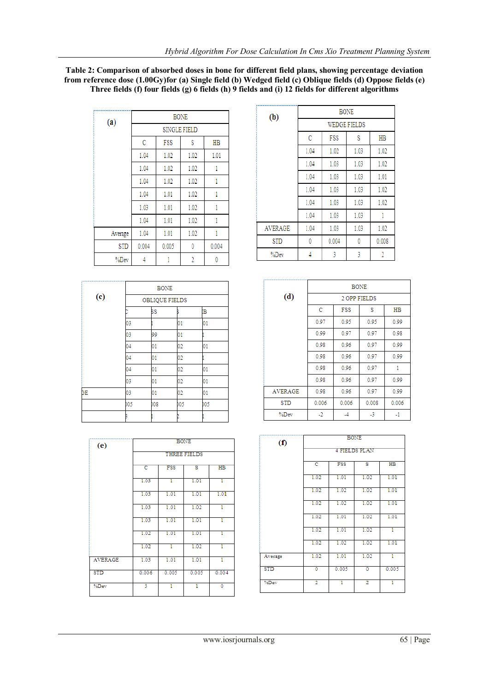## **Table 2: Comparison of absorbed doses in bone for different field plans, showing percentage deviation from reference dose (1.00Gy)for (a) Single field (b) Wedged field (c) Oblique fields (d) Oppose fields (e) Three fields (f) four fields (g) 6 fields (h) 9 fields and (i) 12 fields for different algorithms**

| (a)        | <b>BONE</b>  |                |      |       |  |  |  |
|------------|--------------|----------------|------|-------|--|--|--|
|            | SINGLE FIELD |                |      |       |  |  |  |
|            | C            | FSS<br>s<br>HB |      |       |  |  |  |
|            | 1.04         | 1.02           | 1.02 | 1.01  |  |  |  |
|            | 1.04         | 1.02           | 1.02 | 1     |  |  |  |
|            | 1.04         | 1.02           | 1.02 | 1     |  |  |  |
|            | 1.04         | 1.01           | 1.02 | 1     |  |  |  |
|            | 1.03         | 1.01           | 1.02 | 1     |  |  |  |
|            | 1.04         | 1.01           | 1.02 | 1     |  |  |  |
| Average    | 1.04         | 1.01           | 1.02 | i     |  |  |  |
| <b>STD</b> | 0.004        | 0.005          | 0    | 0.004 |  |  |  |
| %Dev       |              | 1              | 2    | 0     |  |  |  |

|                      |     | <b>BONE</b>           |     |     |  |  |  |
|----------------------|-----|-----------------------|-----|-----|--|--|--|
|                      |     | <b>OBLIQUE FIELDS</b> |     |     |  |  |  |
| $\left($ e $\right)$ |     |                       |     |     |  |  |  |
|                      |     | šS                    |     | ΙB  |  |  |  |
|                      | 03  |                       | 01  | 01  |  |  |  |
|                      | 03  | 99                    | 01  |     |  |  |  |
|                      | 04  | 01                    | 02  | 01  |  |  |  |
|                      | 04  | 01                    | 02  |     |  |  |  |
|                      | 04  | 01                    | 02  | 01  |  |  |  |
|                      | 03  | 01                    | 02  | 01  |  |  |  |
| ЭE                   | 03  | 01                    | 02  | 01  |  |  |  |
|                      | b05 | $_{08}$               | 005 | 005 |  |  |  |
|                      |     |                       |     |     |  |  |  |

| (e)            |                     |                | <b>BONE</b> |                |  |  |  |  |
|----------------|---------------------|----------------|-------------|----------------|--|--|--|--|
|                | <b>THREE FIELDS</b> |                |             |                |  |  |  |  |
|                | c                   | FSS<br>HB<br>s |             |                |  |  |  |  |
|                | 1.03                | ī              | 1.01        | T              |  |  |  |  |
|                | 1.03                | 1.01           | 1.01        | 1.01           |  |  |  |  |
|                | 1.03                | 1.01           | 1.02        | ī              |  |  |  |  |
|                | 1.03                | 1.01           | 1.01        | ī              |  |  |  |  |
|                | 1.02                | 1.01           | 1.01        | ī              |  |  |  |  |
|                | 1.02                | ī              | 1.02        | T              |  |  |  |  |
| <b>AVERAGE</b> | 1.03                | 1.01           | 1.01        | ī              |  |  |  |  |
| <b>STD</b>     | 0.006               | 0.005          | 0.005       | 0.004          |  |  |  |  |
| %Dev           | 3                   | ī              | T           | $\overline{0}$ |  |  |  |  |

| (b)            | <b>BONE</b> |                     |      |       |  |
|----------------|-------------|---------------------|------|-------|--|
|                |             | <b>WEDGE FIELDS</b> |      |       |  |
|                | C           | FSS                 | s    | HB    |  |
|                | 1.04        | 1.02                | 1.03 | 1.02  |  |
|                | 1.04        | 1.03                | 1.03 | 1.02  |  |
|                | 1.04        | 1.03                | 1.03 | 1.01  |  |
|                | 1.04        | 1.03                | 1.03 | 1.02  |  |
|                | 1.04        | 1.03                | 1.03 | 1.02  |  |
|                | 1.04        | 1.03                | 1.03 | 1     |  |
| <b>AVERAGE</b> | 1.04        | 1.03                | 1.03 | 1.02  |  |
| STD            | 0           | 0.004               | 0    | 0.008 |  |
| %Dev           | 4           | 3                   | 3    | 2     |  |

|                   | <b>BONE</b> |              |       |       |  |
|-------------------|-------------|--------------|-------|-------|--|
| $\left( d\right)$ |             | 2 OPP FIELDS |       |       |  |
|                   | C           | <b>FSS</b>   | s     | HB    |  |
|                   | 0.97        | 0.95         | 0.95  | 0.99  |  |
|                   | 0.99        | 0.97         | 0.97  | 0.98  |  |
|                   | 0.98        | 0.96         | 0.97  | 0.99  |  |
|                   | 0.98        | 0.96         | 0.97  | 0.99  |  |
|                   | 0.98        | 0.96         | 0.97  | 1     |  |
|                   | 0.98        | 0.96         | 0.97  | 0.99  |  |
| <b>AVERAGE</b>    | 0.98        | 0.96         | 0.97  | 0.99  |  |
| STD               | 0.006       | 0.006        | 0.008 | 0.006 |  |
| %Dev              | $-2$        |              | -3    | $-1$  |  |

| $\left( f\right)$ | <b>BONE</b>    |       |                      |                 |  |  |
|-------------------|----------------|-------|----------------------|-----------------|--|--|
|                   |                |       | <b>4 FIELDS PLAN</b> |                 |  |  |
|                   | c              | FSS   | s                    | $\overline{HB}$ |  |  |
|                   | 1.02           | 1.01  | 1.02                 | 1.01            |  |  |
|                   | 1.02           | 1.02  | 1.02                 | 1.01            |  |  |
|                   | 1.02           | 1.02  | 1.02                 | 1.01            |  |  |
|                   | 1.02           | 1.01  | 1.02                 | 1.01            |  |  |
|                   | 1.02           | 1.01  | 1.02                 | T               |  |  |
|                   | 1.02           | 1.02  | 1.02                 | 1.01            |  |  |
| Average           | 1.02           | 1.01  | 1.02                 | T               |  |  |
| <b>STD</b>        | Ō              | 0.005 | ō                    | 0.005           |  |  |
| %Dev              | $\overline{2}$ | ī     | $\overline{2}$       | T               |  |  |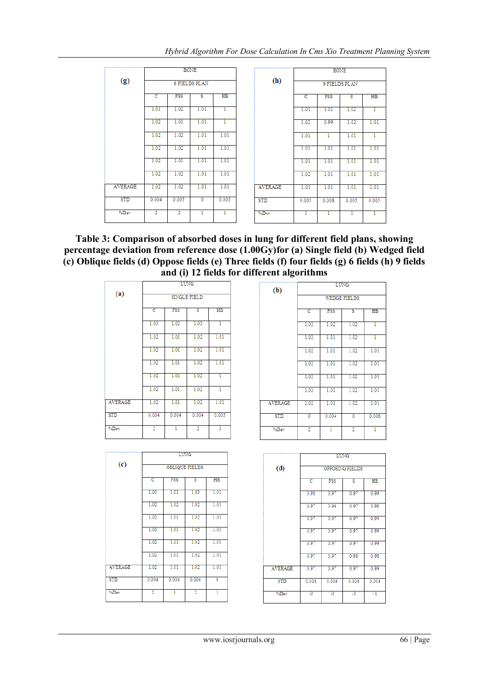|                |                |                | <b>BONE</b>             |             |                |       | <b>BONE</b> |               |                 |
|----------------|----------------|----------------|-------------------------|-------------|----------------|-------|-------------|---------------|-----------------|
| (g)            |                |                | <b>6 FIELDS PLAN</b>    |             | (h)            |       |             | 9 FIELDS PLAN |                 |
|                | ਟ              | <b>FSS</b>     | $\overline{\mathbf{s}}$ | $_{\rm HB}$ |                | c     | <b>FSS</b>  | s             | $\overline{HB}$ |
|                | 1.01           | 1.02           | 1.01                    | ı.          |                | 1.01  | 1.01        | 1.02          |                 |
|                | 1.02           | 1.01           | 1.01                    | ı.          |                | 1.02  | 0.99        | 1.02          | 1.01            |
|                | 1.02           | 1.02           | 1.01                    | 1.01        |                | 1.01  | ı           | 1.01          | ı               |
|                | 1.02           | 1.02           | 1.01                    | 1.01        |                | 1.01  | 1.01        | 1.01          | 1.01            |
|                | 1.02           | 1.01           | 1.01                    | 1.01        |                | 1.01  | 1.01        | 1.01          | 1.01            |
|                | 1.02           | 1.02           | 1.01                    | 1.01        |                | 1.02  | 1.01        | 1.01          | 1.01            |
| <b>AVERAGE</b> | 1.02           | 1.02           | 1.01                    | 1.01        | <b>AVERAGE</b> | 1.01  | 1.01        | 1.01          | 1.01            |
| <b>STD</b>     | 0.004          | 0.005          | $\mathbf{0}$            | 0.005       | <b>STD</b>     | 0.005 | 0.008       | 0.005         | 0.005           |
| %Dev           | $\overline{2}$ | $\overline{2}$ | 1                       | ı           | %Dev           |       |             |               |                 |

**Table 3: Comparison of absorbed doses in lung for different field plans, showing percentage deviation from reference dose (1.00Gy)for (a) Single field (b) Wedged field (c) Oblique fields (d) Oppose fields (e) Three fields (f) four fields (g) 6 fields (h) 9 fields and (i) 12 fields for different algorithms**

|                | <b>LUNG</b><br><b>SINGLE FIELD</b> |            |                |                |  |
|----------------|------------------------------------|------------|----------------|----------------|--|
| (a)            |                                    |            |                |                |  |
|                | c                                  | <b>FSS</b> | s              | H <sub>B</sub> |  |
|                | 1.03                               | 1.02       | 1.03           | T              |  |
|                | 1.02                               | 1.01       | 1.02           | 1.01           |  |
|                | 1.02                               | 1.01       | 1.02           | 1.01           |  |
|                | 1.02                               | 1.01       | 1.02           | 1.01           |  |
|                | 1.02                               | 1.01       | 1.02           | ī              |  |
|                | 1.02                               | 1.01       | 1.02           | 1              |  |
| <b>AVERAGE</b> | 1.02                               | 1.01       | 1.02           | 1.01           |  |
| <b>STD</b>     | 0.004                              | 0.004      | 0.004          | 0.005          |  |
| %Dev           | $\overline{2}$                     | ı          | $\overline{2}$ | ı              |  |

|                             | <b>LUNG</b>    |            |                       |             |  |
|-----------------------------|----------------|------------|-----------------------|-------------|--|
| $\left( \mathrm{c} \right)$ |                |            | <b>OBLIQUE FIELDS</b> |             |  |
|                             | c              | <b>FSS</b> | s                     | $_{\rm HB}$ |  |
|                             | 1.03           | 1.01       | 1.03                  | 1.01        |  |
|                             | 1.02           | 1.02       | 1.02                  | 1.01        |  |
|                             | 1.02           | 1.01       | 1.02                  | 1.01        |  |
|                             | 1.02           | 1.01       | 1.02                  | 1.01        |  |
|                             | 1.02           | 1.01       | 1.02                  | 1.01        |  |
|                             | 1.02           | 1.01       | 1.02                  | 1.01        |  |
| <b>AVERAGE</b>              | 1.02           | 1.01       | 1.02                  | 1.01        |  |
| <b>STD</b>                  | 0.004          | 0.004      | 0.004                 | ō           |  |
| %Dev                        | $\overline{2}$ | 1          | $\overline{2}$        | ī           |  |

| (b)            | <b>LUNG</b>         |       |                |                |  |  |  |  |
|----------------|---------------------|-------|----------------|----------------|--|--|--|--|
|                | <b>WEDGE FIELDS</b> |       |                |                |  |  |  |  |
|                | c                   | FSS   | s              | H <sub>B</sub> |  |  |  |  |
|                | 1.02                | 1.02  | 1.02           | ī              |  |  |  |  |
|                | 1.02                | 1.01  | 1.02           | ī              |  |  |  |  |
|                | 1.02                | 1.01  | 1.02           | 1.01           |  |  |  |  |
|                | 1.02                | 1.01  | 1.02           | 1.01           |  |  |  |  |
|                | 1.02                | 1.01  | 1.02           | 1.01           |  |  |  |  |
|                | 1.02                | 1.01  | 1.02           | 1.01           |  |  |  |  |
| <b>AVERAGE</b> | 1.02                | 1.01  | 1.02           | 1.01           |  |  |  |  |
| <b>STD</b>     | 0                   | 0.004 | 0              | 0.006          |  |  |  |  |
| %Dev           | $\overline{2}$      | ī     | $\overline{2}$ | ī              |  |  |  |  |

|                | <b>LUNG</b>                |       |                 |       |  |  |  |
|----------------|----------------------------|-------|-----------------|-------|--|--|--|
| (d)            |                            |       | OPPOSING FIELDS |       |  |  |  |
|                | <b>FSS</b><br>c<br>HB<br>s |       |                 |       |  |  |  |
|                | 0.98                       | 0.97  | 0.97            | 0.99  |  |  |  |
|                | 0.97                       | 0.96  | 0.97            | 0.98  |  |  |  |
|                | 0.97                       | 0.97  | 0.97            | 0.99  |  |  |  |
|                | 0.97                       | 0.97  | 0.97            | 0.99  |  |  |  |
|                | 0.97                       | 0.97  | 0.97            | 0.99  |  |  |  |
|                | 0.97                       | 0.97  | 0.98            | 0.98  |  |  |  |
| <b>AVERAGE</b> | 0.97                       | 0.97  | 0.97            | 0.99  |  |  |  |
| <b>STD</b>     | 0.004                      | 0.004 | 0.004           | 0.004 |  |  |  |
| %Dev           | -3                         | -3    | -3              | -1    |  |  |  |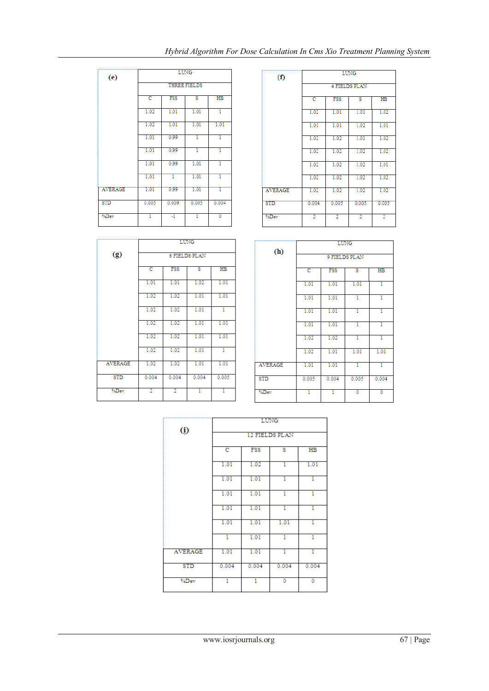|            |                |                |       | c     | FSS        | s.             |
|------------|----------------|----------------|-------|-------|------------|----------------|
|            |                | $\circled{0}$  |       |       |            | 12 FIELDS PLA  |
|            |                |                |       |       |            | <b>LUNG</b>    |
|            |                |                |       |       |            |                |
| %Dev       | $\overline{2}$ | $\overline{2}$ | ī     | T     | %Dev       |                |
| <b>STD</b> | 0.004          | 0.004          | 0.004 | 0.005 | <b>STD</b> |                |
| AVERAGE    | 1.02           | 1.02           | 1.01  | 1.01  |            | <b>AVERAGE</b> |
|            | 1.02           | 1.02           | 1.01  | T     |            |                |
|            | 1.02           | 1.02           | 1.01  | 1.01  |            |                |
|            | 1.02           | 1.02           | 1.01  | 1.01  |            |                |
|            | 1.02           | 1.02           | 1.01  | T     |            |                |
|            | 1.02           | 1.02           | 1.01  | 1.01  |            |                |
|            | 1.01           | 1.01           | 1.02  | 1.01  |            |                |
|            |                |                |       |       |            |                |

 $H<sub>B</sub>$ 

| (e)            |       | <b>LUNG</b><br>THREE FIELDS    |             |       |  |  |  |  |  |
|----------------|-------|--------------------------------|-------------|-------|--|--|--|--|--|
|                |       |                                |             |       |  |  |  |  |  |
|                | c     | <b>FSS</b><br>$_{\rm HB}$<br>s |             |       |  |  |  |  |  |
|                | 1.02  | 1.01                           | 1.01        | T     |  |  |  |  |  |
|                | 1.02  | 1.01                           | 1.01        | 1.01  |  |  |  |  |  |
|                | 1.01  | 0.99                           | т           | т     |  |  |  |  |  |
|                | 1.01  | 0.99                           | T           | T     |  |  |  |  |  |
|                | 1.01  | 0.99                           | 1.01        | ī     |  |  |  |  |  |
|                | 1.01  | ī                              | 1.01        | ī     |  |  |  |  |  |
| <b>AVERAGE</b> | 1.01  | 0.99                           | 1.01        | T     |  |  |  |  |  |
| <b>STD</b>     | 0.005 | 0.009                          | 0.005       | 0.004 |  |  |  |  |  |
| %Dev           | 1     | ч                              | ī           | 0     |  |  |  |  |  |
|                |       |                                |             |       |  |  |  |  |  |
|                |       |                                | <b>LUNG</b> |       |  |  |  |  |  |

**6 FIELDS PLAN** 

s

FSS

 $(g)$ 

 $\overline{\mathbf{c}}$ 

| $\left( f\right)$ | <b>LUNG</b>          |                                |                |                |  |  |  |  |
|-------------------|----------------------|--------------------------------|----------------|----------------|--|--|--|--|
|                   | <b>4 FIELDS PLAN</b> |                                |                |                |  |  |  |  |
|                   | c                    | $_{\rm HB}$<br><b>FSS</b><br>s |                |                |  |  |  |  |
|                   | 1.02                 | 1.01                           | 1.01           | 1.02           |  |  |  |  |
|                   | 1.01                 | 1.01                           | 1.02           | 1.01           |  |  |  |  |
|                   | 1.02                 | 1.02                           | 1.01           | 1.02           |  |  |  |  |
|                   | 1.02                 | 1.02                           | 1.02           | 1.02           |  |  |  |  |
|                   | 1.02                 | 1.02                           | 1.02           | 1.01           |  |  |  |  |
|                   | 1.02                 | 1.02                           | 1.02           | 1.02           |  |  |  |  |
| <b>AVERAGE</b>    | 1.02                 | 1.02                           | 1.02           | 1.02           |  |  |  |  |
| <b>STD</b>        | 0.004                | 0.005                          | 0.005          | 0.005          |  |  |  |  |
| %Dev              | $\overline{2}$       | $\overline{2}$                 | $\overline{2}$ | $\overline{2}$ |  |  |  |  |

|                | <b>LUNG</b>                                                              |       |       |       |  |  |  |  |
|----------------|--------------------------------------------------------------------------|-------|-------|-------|--|--|--|--|
| (h)            | 9 FIELDS PLAN                                                            |       |       |       |  |  |  |  |
|                | <b>FSS</b><br>$H\!B$<br>$\overline{\text{c}}$<br>$\overline{\mathbf{s}}$ |       |       |       |  |  |  |  |
|                | 1.01                                                                     | 1.01  | 1.01  | 1     |  |  |  |  |
|                | 1.01                                                                     | 1.01  | T     | 1     |  |  |  |  |
|                | 1.01                                                                     | 1.01  | ı     | T     |  |  |  |  |
|                | 1.01                                                                     | 1.01  | 1     | 1     |  |  |  |  |
|                | 1.02                                                                     | 1.02  | ı     | ı     |  |  |  |  |
|                | 1.02                                                                     | 1.01  | 1.01  | 1.01  |  |  |  |  |
| <b>AVERAGE</b> | 1.01                                                                     | 1.01  | T     | T     |  |  |  |  |
| <b>STD</b>     | 0.005                                                                    | 0.004 | 0.005 | 0.004 |  |  |  |  |
| %Dev           | T                                                                        | т     | Ō     | ō     |  |  |  |  |

 $\overline{\phantom{0}}$ 

|                | LUNG           |       |       |       |  |  |
|----------------|----------------|-------|-------|-------|--|--|
| $\circled{v}$  | 12 FIELDS PLAN |       |       |       |  |  |
|                | c              | FSS   | s     | HB    |  |  |
|                | 1.01           | 1.02  | T     | 1.01  |  |  |
|                | 1.01           | 1.01  | 1     | T     |  |  |
|                | 1.01           | 1.01  | ı     | ī     |  |  |
|                | 1.01           | 1.01  | ı     | ī     |  |  |
|                | 1.01           | 1.01  | 1.01  | ī     |  |  |
|                | T              | 1.01  | ī     | ī     |  |  |
| <b>AVERAGE</b> | 1.01           | 1.01  | T     | T     |  |  |
| <b>STD</b>     | 0.004          | 0.004 | 0.004 | 0.004 |  |  |
| %Dev           | ī              | ī     | 0     | 0     |  |  |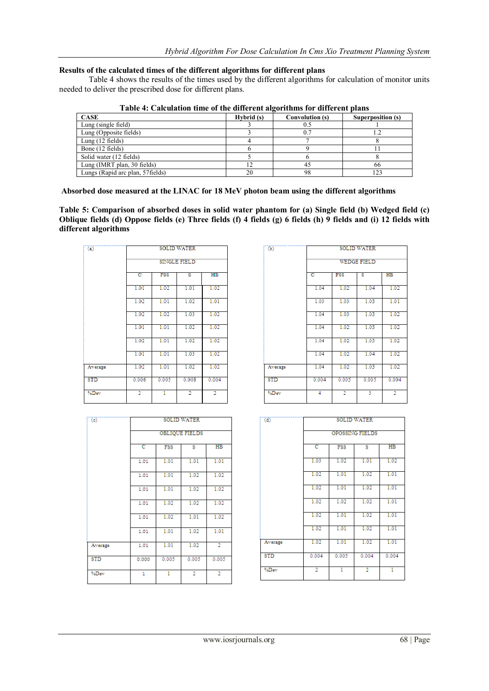## **Results of the calculated times of the different algorithms for different plans**

Table 4 shows the results of the times used by the different algorithms for calculation of monitor units needed to deliver the prescribed dose for different plans.

| <b>CASE</b>                       | Hybrid (s) | Convolution (s) | Superposition (s) |
|-----------------------------------|------------|-----------------|-------------------|
| Lung (single field)               |            | U.5             |                   |
| Lung (Opposite fields)            |            | 0.7             |                   |
| Lung $(12 \text{ fields})$        |            |                 |                   |
| Bone (12 fields)                  |            |                 |                   |
| Solid water (12 fields)           |            |                 |                   |
| Lung (IMRT plan, 30 fields)       |            |                 | 66                |
| Lungs (Rapid arc plan, 57 fields) | 20         | 98              | 123               |

**Table 4: Calculation time of the different algorithms for different plans**

**Absorbed dose measured at the LINAC for 18 MeV photon beam using the different algorithms**

**Table 5: Comparison of absorbed doses in solid water phantom for (a) Single field (b) Wedged field (c) Oblique fields (d) Oppose fields (e) Three fields (f) 4 fields (g) 6 fields (h) 9 fields and (i) 12 fields with different algorithms**

| $\overline{a}$ | <b>SOLID WATER</b>                                        |       |                |                |  |  |
|----------------|-----------------------------------------------------------|-------|----------------|----------------|--|--|
|                | <b>SINGLE FIELD</b>                                       |       |                |                |  |  |
|                | c<br>$_{\rm HB}$<br><b>FSS</b><br>$\overline{\mathbf{s}}$ |       |                |                |  |  |
|                | 1.01                                                      | 1.02  | 1.01           | 1.02           |  |  |
|                | 1.02                                                      | 1.01  | 1.02           | 1.01           |  |  |
|                | 1.02                                                      | 1.02  | 1.03           | 1.02           |  |  |
|                | 1.01                                                      | 1.01  | 1.02           | 1.02           |  |  |
|                | 1.02                                                      | 1.01  | 1.02           | 1.02           |  |  |
|                | 1.01                                                      | 1.01  | 1.03           | 1.02           |  |  |
| Average        | 1.02                                                      | 1.01  | 1.02           | 1.02           |  |  |
| STD            | 0.006                                                     | 0.005 | 0.008          | 0.004          |  |  |
| %Dev           | $\overline{2}$                                            | ī     | $\overline{2}$ | $\overline{2}$ |  |  |

| $\overline{(\mathbf{c})}$ | <b>SOLID WATER</b>                                      |       |                |                |  |  |
|---------------------------|---------------------------------------------------------|-------|----------------|----------------|--|--|
|                           | <b>OBLIQUE FIELDS</b>                                   |       |                |                |  |  |
|                           | $_{\rm HB}$<br>$\overline{\text{c}}$<br><b>FSS</b><br>s |       |                |                |  |  |
|                           | 1.01                                                    | 1.01  | 1.01           | 1.01           |  |  |
|                           | 1.01                                                    | 1.01  | 1.02           | 1.02           |  |  |
|                           | 1.01                                                    | 1.01  | 1.02           | 1.02           |  |  |
|                           | 1.01                                                    | 1.02  | 1.02           | 1.02           |  |  |
|                           | 1.01                                                    | 1.02  | 1.01           | 1.02           |  |  |
|                           | 1.01                                                    | 1.01  | 1.02           | 1.01           |  |  |
| Average                   | 1.01                                                    | 1.01  | 1.02           | $\overline{2}$ |  |  |
| <b>STD</b>                | 0.000                                                   | 0.005 | 0.005          | 0.005          |  |  |
| %Dev                      | 1                                                       | ı     | $\overline{2}$ | $\overline{2}$ |  |  |

| $\overline{(\mathbf{b})}$ | <b>SOLID WATER</b>                                        |                |       |                |  |  |  |
|---------------------------|-----------------------------------------------------------|----------------|-------|----------------|--|--|--|
|                           | <b>WEDGE FIELD</b>                                        |                |       |                |  |  |  |
|                           | c<br><b>FSS</b><br>$\overline{\mathbf{s}}$<br>$_{\rm HB}$ |                |       |                |  |  |  |
|                           | 1.04                                                      | 1.02           | 1.04  | 1.02           |  |  |  |
|                           | 1.03                                                      | 1.03           | 1.03  | 1.01           |  |  |  |
|                           | 1.04                                                      | 1.03           | 1.03  | 1.02           |  |  |  |
|                           | 1.04                                                      | 1.02           | 1.03  | 1.02           |  |  |  |
|                           | 1.04                                                      | 1.02           | 1.03  | 1.02           |  |  |  |
|                           | 1.04                                                      | 1.02           | 1.04  | 1.02           |  |  |  |
| Average                   | 1.04                                                      | 1.02           | 1.03  | 1.02           |  |  |  |
| <b>STD</b>                | 0.004                                                     | 0.005          | 0.005 | 0.004          |  |  |  |
| %Dev                      | $\overline{4}$                                            | $\overline{2}$ | 3     | $\overline{2}$ |  |  |  |

| (d)        |                                                            |       | <b>SOLID WATER</b> |       |  |  |  |
|------------|------------------------------------------------------------|-------|--------------------|-------|--|--|--|
|            | OPOSSING FIELDS                                            |       |                    |       |  |  |  |
|            | H <sub>B</sub><br>$\overline{\text{c}}$<br><b>FSS</b><br>s |       |                    |       |  |  |  |
|            | 1.03                                                       | 1.02  | 1.01               | 1.02  |  |  |  |
|            | 1.02                                                       | 1.01  | 1.02               | 1.01  |  |  |  |
|            | 1.02                                                       | 1.01  | 1.02               | 1.01  |  |  |  |
|            | 1.02                                                       | 1.02  | 1.02               | 1.01  |  |  |  |
|            | 1.02                                                       | 1.01  | 1.02               | 1.01  |  |  |  |
|            | 1.02                                                       | 1.01  | 1.02               | 1.01  |  |  |  |
| Average    | 1.02                                                       | 1.01  | 1.02               | 1.01  |  |  |  |
| <b>STD</b> | 0.004                                                      | 0.005 | 0.004              | 0.004 |  |  |  |
| %Dev       | $\overline{2}$                                             | ī     | $\overline{2}$     | ī     |  |  |  |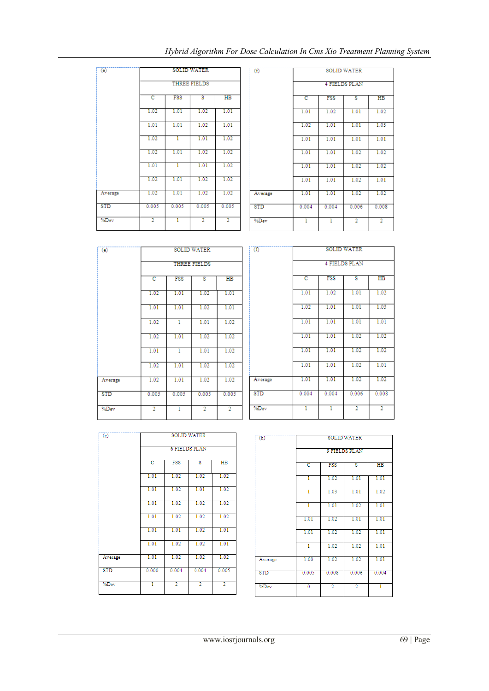| (e)     | <b>SOLID WATER</b>                  |       |                |                |  |  |
|---------|-------------------------------------|-------|----------------|----------------|--|--|
|         | <b>THREE FIELDS</b>                 |       |                |                |  |  |
|         | <b>FSS</b><br>ट<br>$_{\rm HB}$<br>ड |       |                |                |  |  |
|         | 1.02                                | 1.01  | 1.02           | 1.01           |  |  |
|         | 1.01                                | 1.01  | 1.02           | 1.01           |  |  |
|         | 1.02                                | T     | 1.01           | 1.02           |  |  |
|         | 1.02                                | 1.01  | 1.02           | 1.02           |  |  |
|         | 1.01                                | T     | 1.01           | 1.02           |  |  |
|         | 1.02                                | 1.01  | 1.02           | 1.02           |  |  |
| Average | 1.02                                | 1.01  | 1.02           | 1.02           |  |  |
| STD     | 0.005                               | 0.005 | 0.005          | 0.005          |  |  |
| %Dev    | $\overline{2}$                      | ī     | $\overline{2}$ | $\overline{2}$ |  |  |

| $^{(f)}$   | <b>SOLID WATER</b> |       |                      |                |  |  |
|------------|--------------------|-------|----------------------|----------------|--|--|
|            |                    |       | <b>4 FIELDS PLAN</b> |                |  |  |
|            | c                  | FSS   | s                    | $_{\rm HB}$    |  |  |
|            | 1.01               | 1.02  | 1.01                 | 1.02           |  |  |
|            | 1.02               | 1.01  | 1.01                 | 1.03           |  |  |
|            | 1.01               | 1.01  | 1.01                 | 1.01           |  |  |
|            | 1.01               | 1.01  | 1.02                 | 1.02           |  |  |
|            | 1.01               | 1.01  | 1.02                 | 1.02           |  |  |
|            | 1.01               | 1.01  | 1.02                 | 1.01           |  |  |
| Average    | 1.01               | 1.01  | 1.02                 | 1.02           |  |  |
| <b>STD</b> | 0.004              | 0.004 | 0.006                | 0.008          |  |  |
| %Dev       | ī                  | 1     | $\overline{2}$       | $\overline{2}$ |  |  |

| $\overline{(\mathsf{e})}$ |                     | <b>SOLID WATER</b>         |                |                |  |  |  |
|---------------------------|---------------------|----------------------------|----------------|----------------|--|--|--|
|                           | <b>THREE FIELDS</b> |                            |                |                |  |  |  |
|                           | c                   | FSS<br>H <sub>B</sub><br>s |                |                |  |  |  |
|                           | 1.02                | 1.01                       | 1.02           | 1.01           |  |  |  |
|                           | 1.01                | 1.01                       | 1.02           | 1.01           |  |  |  |
|                           | 1.02                | ī                          | 1.01           | 1.02           |  |  |  |
|                           | 1.02                | 1.01                       | 1.02           | 1.02           |  |  |  |
|                           | 1.01                | T                          | 1.01           | 1.02           |  |  |  |
|                           | 1.02                | 1.01                       | 1.02           | 1.02           |  |  |  |
| Average                   | 1.02                | 1.01                       | 1.02           | 1.02           |  |  |  |
| <b>STD</b>                | 0.005               | 0.005                      | 0.005          | 0.005          |  |  |  |
| %Dev                      | $\overline{2}$      | ī                          | $\overline{2}$ | $\overline{2}$ |  |  |  |

| (f)        |       |       | <b>SOLID WATER</b>   |                |
|------------|-------|-------|----------------------|----------------|
|            |       |       | <b>4 FIELDS PLAN</b> |                |
|            | c     | FSS   | s                    | H <sub>B</sub> |
|            | 1.01  | 1.02  | 1.01                 | 1.02           |
|            | 1.02  | 1.01  | 1.01                 | 1.03           |
|            | 1.01  | 1.01  | 1.01                 | 1.01           |
|            | 1.01  | 1.01  | 1.02                 | 1.02           |
|            | 1.01  | 1.01  | 1.02                 | 1.02           |
|            | 1.01  | 1.01  | 1.02                 | 1.01           |
| Average    | 1.01  | 1.01  | 1.02                 | 1.02           |
| <b>STD</b> | 0.004 | 0.004 | 0.006                | 0.008          |
| %Dev       | ī     | T     | $\overline{2}$       | $\overline{2}$ |

| $\overline{(\mathbf{z})}$ | <b>SOLID WATER</b>                               |                |                |                |  |  |  |
|---------------------------|--------------------------------------------------|----------------|----------------|----------------|--|--|--|
|                           | <b>6 FIELDS PLAN</b>                             |                |                |                |  |  |  |
|                           | $_{\rm HB}$<br>$\overline{\text{c}}$<br>FSS<br>s |                |                |                |  |  |  |
|                           | 1.01                                             | 1.02           | 1.02           | 1.02           |  |  |  |
|                           | 1.01                                             | 1.02           | 1.01           | 1.02           |  |  |  |
|                           | 1.01                                             | 1.02           | 1.02           | 1.02           |  |  |  |
|                           | 1.01                                             | 1.02           | 1.02           | 1.02           |  |  |  |
|                           | 1.01                                             | 1.01           | 1.02           | 1.01           |  |  |  |
|                           | 1.01                                             | 1.02           | 1.02           | 1.01           |  |  |  |
| Average                   | 1.01                                             | 1.02           | 1.02           | 1.02           |  |  |  |
| <b>STD</b>                | 0.000                                            | 0.004          | 0.004          | 0.005          |  |  |  |
| %Dev                      | ī                                                | $\overline{2}$ | $\overline{2}$ | $\overline{2}$ |  |  |  |

| (h)        | <b>SOLID WATER</b> |                |                |                |  |
|------------|--------------------|----------------|----------------|----------------|--|
|            |                    |                | 9 FIELDS PLAN  |                |  |
|            | c                  | <b>FSS</b>     | s              | H <sub>B</sub> |  |
|            | T                  | 1.02           | 1.01           | 1.01           |  |
|            | T                  | 1.03           | 1.01           | 1.02           |  |
|            | ī                  | 1.01           | 1.02           | 1.01           |  |
|            | 1.01               | 1.02           | 1.01           | 1.01           |  |
|            | 1.01               | 1.02           | 1.02           | 1.01           |  |
|            | T                  | 1.02           | 1.02           | 1.01           |  |
| Average    | 1.00               | 1.02           | 1.02           | 1.01           |  |
| <b>STD</b> | 0.005              | 0.008          | 0.006          | 0.004          |  |
| %Dev       | Ō                  | $\overline{2}$ | $\overline{2}$ | ī              |  |

 $\sqrt{(f)}$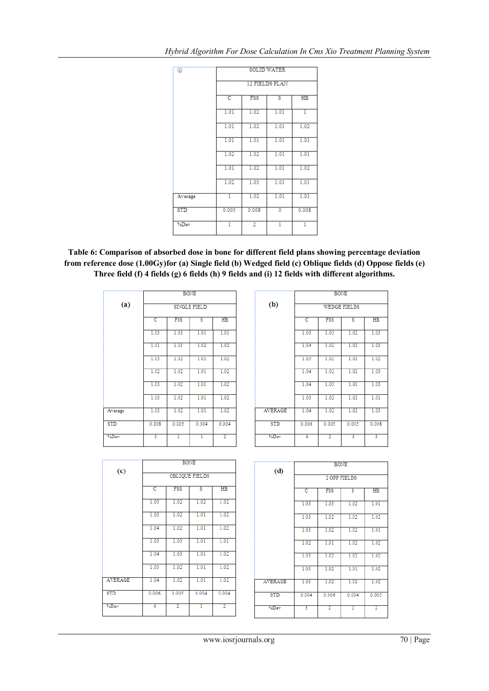| $\overline{\omega}$ |       | <b>SOLID WATER</b>                            |      |       |  |  |  |
|---------------------|-------|-----------------------------------------------|------|-------|--|--|--|
|                     |       | 12 FIELDS PLAN                                |      |       |  |  |  |
|                     | c     | FSS<br>$_{\rm HB}$<br>$\overline{\mathbf{s}}$ |      |       |  |  |  |
|                     | 1.01  | 1.02                                          | 1.01 | T     |  |  |  |
|                     | 1.01  | 1.02                                          | 1.01 | 1.02  |  |  |  |
|                     | 1.01  | 1.01                                          | 1.01 | 1.01  |  |  |  |
|                     | 1.02  | 1.02                                          | 1.01 | 1.01  |  |  |  |
|                     | 1.01  | 1.02                                          | 1.01 | 1.02  |  |  |  |
|                     | 1.02  | 1.03                                          | 1.01 | 1.01  |  |  |  |
| Average             | T     | 1.02                                          | 1.01 | 1.01  |  |  |  |
| <b>STD</b>          | 0.005 | 0.008                                         | ō    | 0.008 |  |  |  |
| %Dev                | ī     | $\overline{2}$                                | ī    | T     |  |  |  |

**Table 6: Comparison of absorbed dose in bone for different field plans showing percentage deviation from reference dose (1.00Gy)for (a) Single field (b) Wedged field (c) Oblique fields (d) Oppose fields (e) Three field (f) 4 fields (g) 6 fields (h) 9 fields and (i) 12 fields with different algorithms.**

|            | <b>BONE</b><br><b>SINGLE FIELD</b> |                                                      |       |                |  |  |  |
|------------|------------------------------------|------------------------------------------------------|-------|----------------|--|--|--|
| (a)        |                                    |                                                      |       |                |  |  |  |
|            | c                                  | <b>FSS</b><br>$_{\rm HB}$<br>$\overline{\mathbf{s}}$ |       |                |  |  |  |
|            | 1.03                               | 1.03                                                 | 1.01  | 1.01           |  |  |  |
|            | 1.01                               | 1.03                                                 | 1.02  | 1.02           |  |  |  |
|            | 1.03                               | 1.02                                                 | 1.01  | 1.02           |  |  |  |
|            | 1.02                               | 1.02                                                 | 1.01  | 1.02           |  |  |  |
|            | 1.03                               | 1.02                                                 | 1.01  | 1.02           |  |  |  |
|            | 1.03                               | 1.02                                                 | 1.01  | 1.02           |  |  |  |
| Average    | 1.03                               | 1.02                                                 | 1.01  | 1.02           |  |  |  |
| <b>STD</b> | 0.008                              | 0.005                                                | 0.004 | 0.004          |  |  |  |
| %Dev       | 3                                  | $\overline{2}$                                       | ī     | $\overline{2}$ |  |  |  |

|                | <b>BONE</b> |                     |       |             |  |  |
|----------------|-------------|---------------------|-------|-------------|--|--|
| (b)            |             | <b>WEDGE FIELDS</b> |       |             |  |  |
|                | c           | <b>FSS</b>          | s     | $_{\rm HB}$ |  |  |
|                | 1.03        | 1.03                | 1.02  | 1.03        |  |  |
|                | 1.04        | 1.02                | 1.02  | 1.03        |  |  |
|                | 1.03        | 1.02                | 1.01  | 1.02        |  |  |
|                | 1.04        | 1.02                | 1.02  | 1.03        |  |  |
|                | 1.04        | 1.03                | 1.01  | 1.03        |  |  |
|                | 1.03        | 1.02                | 1.02  | 1.01        |  |  |
| <b>AVERAGE</b> | 1.04        | 1.02                | 1.02  | 1.03        |  |  |
| <b>STD</b>     | 0.006       | 0.005               | 0.005 | 0.008       |  |  |
| %Dev           | 4           | $\overline{2}$      | 3     | 3           |  |  |

|                   | <b>BONE</b>                         |                |       |                |  |  |  |  |
|-------------------|-------------------------------------|----------------|-------|----------------|--|--|--|--|
| $\left( c\right)$ | <b>OBLIQUE FIELDS</b>               |                |       |                |  |  |  |  |
|                   | <b>FSS</b><br>ਟ<br>τ<br>$_{\rm HB}$ |                |       |                |  |  |  |  |
|                   | 1.05                                | 1.02           | 1.02  | 1.02           |  |  |  |  |
|                   | 1.03                                | 1.02           | 1.01  | 1.02           |  |  |  |  |
|                   | 1.04                                | 1.02           | 1.01  | 1.02           |  |  |  |  |
|                   | 1.03                                | 1.03           | 1.01  | 1.01           |  |  |  |  |
|                   | 1.04                                | 1.03           | 1.01  | 1.02           |  |  |  |  |
|                   | 1.03                                | 1.02           | 1.01  | 1.02           |  |  |  |  |
| <b>AVERAGE</b>    | 1.04                                | 1.02           | 1.01  | 1.02           |  |  |  |  |
| <b>STD</b>        | 0.006                               | 0.005          | 0.004 | 0.004          |  |  |  |  |
| %Dev              | $\overline{4}$                      | $\overline{2}$ | ī     | $\overline{2}$ |  |  |  |  |

| (d)            | <b>BONE</b>         |                |                |                |  |  |  |  |
|----------------|---------------------|----------------|----------------|----------------|--|--|--|--|
|                | 2 OPP FIELDS        |                |                |                |  |  |  |  |
|                | FSS<br>s<br>HB<br>c |                |                |                |  |  |  |  |
|                | 1.03                | 1.03           | 1.02           | 1.01           |  |  |  |  |
|                | 1.03                | 1.02           | 1.02           | 1.02           |  |  |  |  |
|                | 1.03                | 1.02           | 1.02           | 1.01           |  |  |  |  |
|                | 1.02                | 1.01           | 1.02           | 1.02           |  |  |  |  |
|                | 1.03                | 1.02           | 1.02           | 1.02           |  |  |  |  |
|                | 1.03                | 1.02           | 1.01           | 1.02           |  |  |  |  |
| <b>AVERAGE</b> | 1.03                | 1.02           | 1.02           | 1.02           |  |  |  |  |
| <b>STD</b>     | 0.004               | 0.006          | 0.004          | 0.005          |  |  |  |  |
| %Dev           | 3                   | $\overline{2}$ | $\overline{2}$ | $\overline{2}$ |  |  |  |  |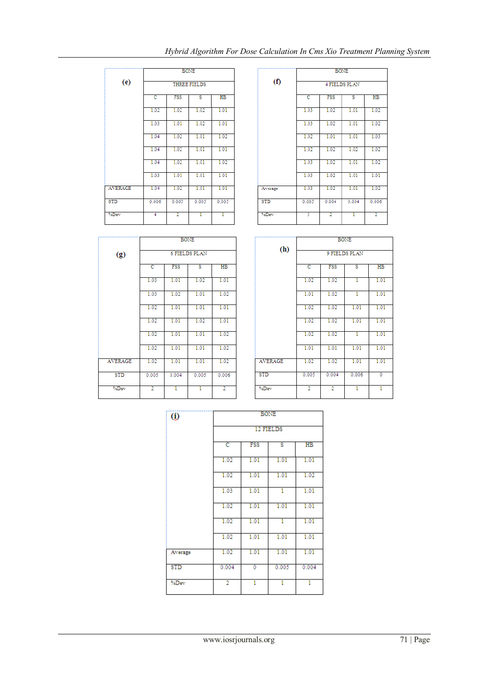**BONE** 

| $\circled{0}$ | <b>BONE</b> |      |           |             |  |  |
|---------------|-------------|------|-----------|-------------|--|--|
|               |             |      | 12 FIELDS |             |  |  |
|               | c           | FSS  | s         | $_{\rm HB}$ |  |  |
|               | 1.02        | 1.01 | 1.01      | 1.01        |  |  |
|               | 1.02        | 1.01 | 1.01      | 1.02        |  |  |
|               | 1.03        | 1.01 | 1         | 1.01        |  |  |
|               | 1.02        | 1.01 | 1.01      | 1.01        |  |  |
|               | 1.02        | 1.01 | T         | 1.01        |  |  |
|               | 1.02        | 1.01 | 1.01      | 1.01        |  |  |
| Average       | 1.02        | 1.01 | 1.01      | 1.01        |  |  |
| STD           | 0.004       | 0    | 0.005     | 0.004       |  |  |
| %Dev          | 2           | ı    | ı         | 1           |  |  |

|                | 1.02        | 1.02           | 1.02  | 1.01  |
|----------------|-------------|----------------|-------|-------|
|                | 1.03        | 1.01           | 1.02  | 1.01  |
|                | 1.04        | 1.02           | 1.01  | 1.02  |
|                | 1.04        | 1.02           | 1.01  | 1.01  |
|                | 1.04        | 1.02           | 1.01  | 1.02  |
|                | 1.03        | 1.01           | 1.01  | 1.01  |
| <b>AVERAGE</b> | 1.04        | 1.02           | 1.01  | 1.01  |
| <b>STD</b>     | 0.006       | 0.005          | 0.005 | 0.005 |
| %Dev           | 4           | $\overline{2}$ | T     | T     |
|                |             |                |       |       |
|                | <b>BONE</b> |                |       |       |
|                |             |                |       |       |

 $(e)$ 

BONE

THREE FIELDS

 $\overline{\mathbf{s}}$ 

 $H\bar{B}$ 

FSS

|                   | <b>BONE</b>          |                |       |                 |  |
|-------------------|----------------------|----------------|-------|-----------------|--|
| $\left( f\right)$ | <b>4 FIELDS PLAN</b> |                |       |                 |  |
|                   | c                    | <b>FSS</b>     | s     | $H\overline{B}$ |  |
|                   | 1.03                 | 1.02           | 1.01  | 1.02            |  |
|                   | 1.03                 | 1.02           | 1.01  | 1.02            |  |
|                   | 1.02                 | 1.01           | 1.01  | 1.03            |  |
|                   | 1.02                 | 1.02           | 1.02  | 1.02            |  |
|                   | 1.03                 | 1.02           | 1.01  | 1.02            |  |
|                   | 1.03                 | 1.02           | 1.01  | 1.01            |  |
| Average           | 1.03                 | 1.02           | 1.01  | 1.02            |  |
| <b>STD</b>        | 0.005                | 0.004          | 0.004 | 0.006           |  |
| %Dev              | 3                    | $\overline{2}$ | T     | $\overline{2}$  |  |

|                |                | <b>BONE</b> |                         |                |  |  |
|----------------|----------------|-------------|-------------------------|----------------|--|--|
| (g)            |                |             | <b>6 FIELDS PLAN</b>    |                |  |  |
|                | $\overline{c}$ | <b>FSS</b>  | $\overline{\mathbf{s}}$ | $_{\rm HB}$    |  |  |
|                | 1.03           | 1.01        | 1.02                    | 1.01           |  |  |
|                | 1.03           | 1.02        | 1.01                    | 1.02           |  |  |
|                | 1.02           | 1.01        | 1.01                    | 1.01           |  |  |
|                | 1.02           | 1.01        | 1.02                    | 1.01           |  |  |
|                | 1.02           | 1.01        | 1.01                    | 1.02           |  |  |
|                | 1.02           | 1.01        | 1.01                    | 1.02           |  |  |
| <b>AVERAGE</b> | 1.02           | 1.01        | 1.01                    | 1.02           |  |  |
| <b>STD</b>     | 0.005          | 0.004       | 0.005                   | 0.006          |  |  |
| %Dev           | $\overline{2}$ | T           | ī                       | $\overline{2}$ |  |  |

|            | <b>BONE</b>             |                                               |       |      |  |  |  |
|------------|-------------------------|-----------------------------------------------|-------|------|--|--|--|
| (h)        | 9 FIELDS PLAN           |                                               |       |      |  |  |  |
|            | $\overline{\mathbf{c}}$ | $_{\rm HB}$<br>FSS<br>$\overline{\mathbf{s}}$ |       |      |  |  |  |
|            | 1.02                    | 1.02                                          | 1     | 1.01 |  |  |  |
|            | 1.01                    | 1.02                                          | ī     | 1.01 |  |  |  |
|            | 1.02                    | 1.02                                          | 1.01  | 1.01 |  |  |  |
|            | 1.02                    | 1.02                                          | 1.01  | 1.01 |  |  |  |
|            | 1.02                    | 1.02                                          | T     | 1.01 |  |  |  |
|            | 1.01                    | 1.01                                          | 1.01  | 1.01 |  |  |  |
| AVERAGE    | 1.02                    | 1.02                                          | 1.01  | 1.01 |  |  |  |
| <b>STD</b> | 0.005                   | 0.004                                         | 0.006 | ō    |  |  |  |
| %Dev       | $\overline{2}$          | $\overline{2}$                                | ī     | T    |  |  |  |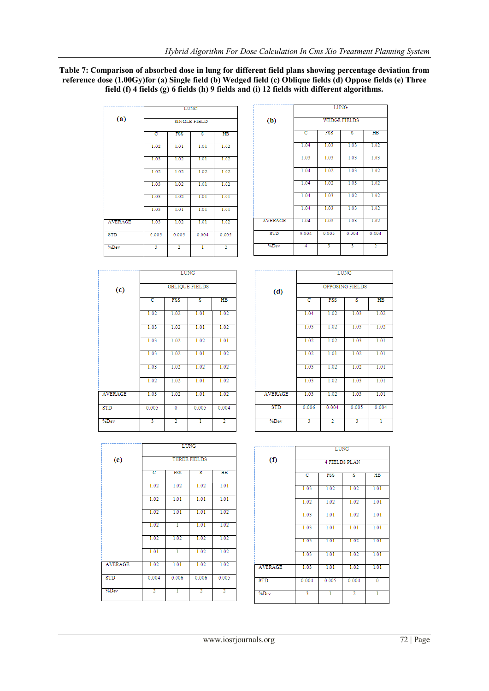## **Table 7: Comparison of absorbed dose in lung for different field plans showing percentage deviation from reference dose (1.00Gy)for (a) Single field (b) Wedged field (c) Oblique fields (d) Oppose fields (e) Three field (f) 4 fields (g) 6 fields (h) 9 fields and (i) 12 fields with different algorithms.**

|                | <b>LUNG</b> |                |                         |                |  |    |
|----------------|-------------|----------------|-------------------------|----------------|--|----|
| (a)            |             |                | SINGLE FIELD            |                |  |    |
|                | c           | <b>FSS</b>     | $\overline{\mathbf{s}}$ | $H\!B$         |  |    |
|                | 1.02        | 1.01           | 1.01                    | 1.02           |  |    |
|                | 1.03        | 1.02           | 1.01                    | 1.02           |  |    |
|                | 1.02        | 1.02           | 1.02                    | 1.02           |  |    |
|                | 1.03        | 1.02           | 1.01                    | 1.02           |  |    |
|                | 1.03        | 1.02           | 1.01                    | 1.01           |  |    |
|                | 1.03        | 1.01           | 1.01                    | 1.01           |  |    |
| <b>AVERAGE</b> | 1.03        | 1.02           | 1.01                    | 1.02           |  | A١ |
| <b>STD</b>     | 0.005       | 0.005          | 0.004                   | 0.005          |  |    |
| %Dev           | 3           | $\overline{2}$ | ı                       | $\overline{2}$ |  |    |

| -----<br><b>WEDGE FIELDS</b> |                                           |                                                    |                                                                 |  |  |  |
|------------------------------|-------------------------------------------|----------------------------------------------------|-----------------------------------------------------------------|--|--|--|
|                              |                                           |                                                    |                                                                 |  |  |  |
|                              |                                           |                                                    | 1.02                                                            |  |  |  |
|                              |                                           |                                                    | 1.03                                                            |  |  |  |
| 1.04                         | 1.02                                      | 1.03                                               | 1.02                                                            |  |  |  |
| 1.04                         | 1.02                                      | 1.03                                               | 1.02                                                            |  |  |  |
|                              |                                           |                                                    | 1.02                                                            |  |  |  |
|                              |                                           |                                                    | 1.02                                                            |  |  |  |
|                              |                                           |                                                    | 1.02                                                            |  |  |  |
| 0.004                        | 0.005                                     | 0.004                                              | 0.004                                                           |  |  |  |
| 4                            | 3                                         | 3                                                  | $\overline{2}$                                                  |  |  |  |
|                              | で<br>1.04<br>1.03<br>1.04<br>1.04<br>1.04 | <b>FSS</b><br>1.03<br>1.03<br>1.03<br>1.03<br>1.03 | $\overline{\mathbf{s}}$<br>1.03<br>1.03<br>1.02<br>1.03<br>1.03 |  |  |  |

TIME

 $\overline{\phantom{0}}$ 

|                   | LUNG<br><b>OBLIQUE FIELDS</b> |            |       |             |  |  |  |
|-------------------|-------------------------------|------------|-------|-------------|--|--|--|
| $\left( c\right)$ |                               |            |       |             |  |  |  |
|                   | c                             | <b>FSS</b> | s     | $_{\rm HB}$ |  |  |  |
|                   | 1.02                          | 1.02       | 1.01  | 1.02        |  |  |  |
|                   | 1.03                          | 1.02       | 1.01  | 1.02        |  |  |  |
|                   | 1.03                          | 1.02       | 1.02  | 1.01        |  |  |  |
|                   | 1.03                          | 1.02       | 1.01  | 1.02        |  |  |  |
|                   | 1.03                          | 1.02       | 1.02  | 1.02        |  |  |  |
|                   | 1.02                          | 1.02       | 1.01  | 1.02        |  |  |  |
| <b>AVERAGE</b>    | 1.03                          | 1.02       | 1.01  | 1.02        |  |  |  |
| <b>STD</b>        | 0.005                         | Ō          | 0.005 | 0.004       |  |  |  |
| %Dev              | 3                             | 2          | ı     | 2           |  |  |  |

|                | LUNG            |                |       |                |  |  |  |
|----------------|-----------------|----------------|-------|----------------|--|--|--|
| (d)            | OPPOSING FIELDS |                |       |                |  |  |  |
|                | c               | <b>FSS</b>     | s     | H <sub>B</sub> |  |  |  |
|                | 1.04            | 1.02           | 1.03  | 1.02           |  |  |  |
|                | 1.03            | 1.02           | 1.03  | 1.02           |  |  |  |
|                | 1.02            | 1.02           | 1.03  | 1.01           |  |  |  |
|                | 1.02            | 1.01           | 1.02  | 1.01           |  |  |  |
|                | 1.03            | 1.02           | 1.02  | 1.01           |  |  |  |
|                | 1.03            | 1.02           | 1.03  | 1.01           |  |  |  |
| <b>AVERAGE</b> | 1.03            | 1.02           | 1.03  | 1.01           |  |  |  |
| STD            | 0.006           | 0.004          | 0.005 | 0.004          |  |  |  |
| %Dev           | 3               | $\overline{2}$ | 3     | ī              |  |  |  |

|                | LUNG                |       |                |                |  |  |
|----------------|---------------------|-------|----------------|----------------|--|--|
| (e)            | <b>THREE FIELDS</b> |       |                |                |  |  |
|                | c                   | FSS   | s              | H <sub>B</sub> |  |  |
|                | 1.02                | 1.02  | 1.02           | 1.01           |  |  |
|                | 1.02                | 1.01  | 1.01           | 1.01           |  |  |
|                | 1.02                | 1.01  | 1.01           | 1.02           |  |  |
|                | 1.02                | ī     | 1.01           | 1.02           |  |  |
|                | 1.02                | 1.02  | 1.02           | 1.02           |  |  |
|                | 1.01                | ī     | 1.02           | 1.02           |  |  |
| <b>AVERAGE</b> | 1.02                | 1.01  | 1.02           | 1.02           |  |  |
| <b>STD</b>     | 0.004               | 0.006 | 0.006          | 0.005          |  |  |
| %Dev           | $\overline{2}$      | T     | $\overline{2}$ | $\overline{2}$ |  |  |

|                | <b>LUNG</b>          |            |                |             |  |  |
|----------------|----------------------|------------|----------------|-------------|--|--|
| (1)            | <b>4 FIELDS PLAN</b> |            |                |             |  |  |
|                | c                    | <b>FSS</b> | s              | $_{\rm HB}$ |  |  |
|                | 1.03                 | 1.02       | 1.02           | 1.01        |  |  |
|                | 1.02                 | 1.02       | 1.02           | 1.01        |  |  |
|                | 1.03                 | 1.01       | 1.02           | 1.01        |  |  |
|                | 1.03                 | 1.01       | 1.01           | 1.01        |  |  |
|                | 1.03                 | 1.01       | 1.02           | 1.01        |  |  |
|                | 1.03                 | 1.01       | 1.02           | 1.01        |  |  |
| <b>AVERAGE</b> | 1.03                 | 1.01       | 1.02           | 1.01        |  |  |
| <b>STD</b>     | 0.004                | 0.005      | 0.004          | Ō           |  |  |
| %Dev           | 3                    | T          | $\overline{2}$ | T           |  |  |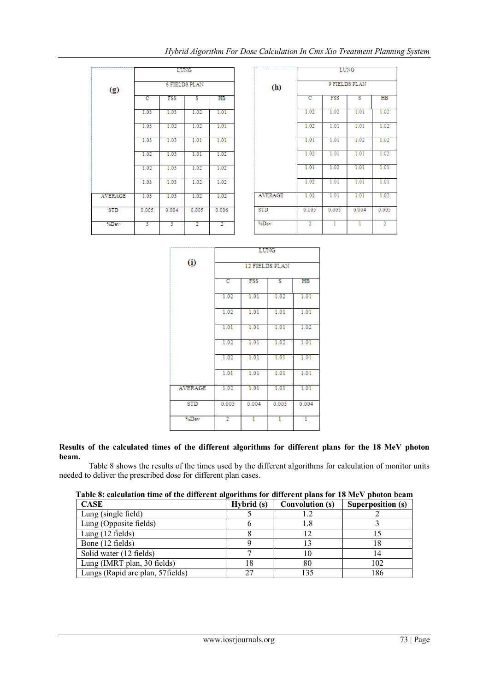|                | <b>LUNG</b><br><b>6 FIELDS PLAN</b> |            |                |                |  |  |
|----------------|-------------------------------------|------------|----------------|----------------|--|--|
| (g)            |                                     |            |                |                |  |  |
|                | c                                   | <b>FSS</b> | s              | $_{\rm HB}$    |  |  |
|                | 1.03                                | 1.03       | 1.02           | 1.01           |  |  |
|                | 1.03                                | 1.02       | 1.02           | 1.01           |  |  |
|                | 1.03                                | 1.03       | 1.01           | 1.01           |  |  |
|                | 1.02                                | 1.03       | 1.01           | 1.02           |  |  |
|                | 1.02                                | 1.03       | 1.02           | 1.02           |  |  |
|                | 1.03                                | 1.03       | 1.02           | 1.02           |  |  |
| <b>AVERAGE</b> | 1.03                                | 1.03       | 1.02           | 1.02           |  |  |
| <b>STD</b>     | 0.005                               | 0.004      | 0.005          | 0.006          |  |  |
| %Dev           | 3                                   | 3          | $\overline{2}$ | $\overline{2}$ |  |  |

|            | <b>LUNG</b>    |            |       |                |  |  |  |
|------------|----------------|------------|-------|----------------|--|--|--|
| (h)        | 9 FIELDS PLAN  |            |       |                |  |  |  |
|            | c              | <b>FSS</b> | s     | $_{\rm HB}$    |  |  |  |
|            | 1.02           | 1.02       | 1.01  | 1.02           |  |  |  |
|            | 1.02           | 1.01       | 1.01  | 1.02           |  |  |  |
|            | 1.01           | 1.01       | 1.02  | 1.02           |  |  |  |
|            | 1.02           | 1.01       | 1.01  | 1.02           |  |  |  |
|            | 1.01           | 1.02       | 1.01  | 1.01           |  |  |  |
|            | 1.02           | 1.01       | 1.01  | 1.01           |  |  |  |
| AVERAGE    | 1.02           | 1.01       | 1.01  | 1.02           |  |  |  |
| <b>STD</b> | 0.005          | 0.005      | 0.004 | 0.005          |  |  |  |
| %Dev       | $\overline{2}$ | T          | T     | $\overline{2}$ |  |  |  |

|                | LUNG           |       |       |       |  |  |
|----------------|----------------|-------|-------|-------|--|--|
| $\circled{0}$  | 12 FIELDS PLAN |       |       |       |  |  |
|                | c              | FSS   | s     | HB    |  |  |
|                | 1.02           | 1.01  | 1.02  | 1.01  |  |  |
|                | 1.02           | 1.01  | 1.01  | 1.01  |  |  |
|                | 1.01           | 1.01  | 1.01  | 1.02  |  |  |
|                | 1.02           | 1.01  | 1.02  | 1.01  |  |  |
|                | 1.02           | 1.01  | 1.01  | 1.01  |  |  |
|                | 1.01           | 1.01  | 1.01  | 1.01  |  |  |
| <b>AVERAGE</b> | 1.02           | 1.01  | 1.01  | 1.01  |  |  |
| <b>STD</b>     | 0.005          | 0.004 | 0.005 | 0.004 |  |  |
| %Dev           | 2              | T     | T     | T     |  |  |

## **Results of the calculated times of the different algorithms for different plans for the 18 MeV photon beam.**

Table 8 shows the results of the times used by the different algorithms for calculation of monitor units needed to deliver the prescribed dose for different plan cases.

| Table 8: calculation time of the different algorithms for different plans for 18 MeV photon beam |            |                 |                   |
|--------------------------------------------------------------------------------------------------|------------|-----------------|-------------------|
| <b>CASE</b>                                                                                      | Hybrid (s) | Convolution (s) | Superposition (s) |
| Lung (single field)                                                                              |            |                 |                   |
| Lung (Opposite fields)                                                                           |            |                 |                   |
| Lung $(12$ fields)                                                                               |            |                 |                   |
| Bone (12 fields)                                                                                 |            |                 |                   |
| Solid water (12 fields)                                                                          |            |                 |                   |
| Lung (IMRT plan, 30 fields)                                                                      | 18         | 80              | 102               |
| Lungs (Rapid arc plan, 57 fields)                                                                | 27         |                 | 186               |

## **Table 8: calculation time of the different algorithms for different plans for 18 MeV photon beam**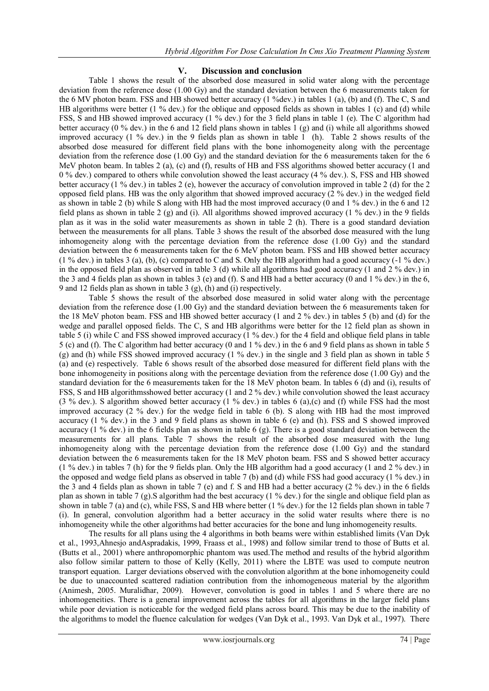## **V. Discussion and conclusion**

Table 1 shows the result of the absorbed dose measured in solid water along with the percentage deviation from the reference dose (1.00 Gy) and the standard deviation between the 6 measurements taken for the 6 MV photon beam. FSS and HB showed better accuracy (1 %dev.) in tables 1 (a), (b) and (f). The C, S and HB algorithms were better (1 % dev.) for the oblique and opposed fields as shown in tables 1 (c) and (d) while FSS, S and HB showed improved accuracy (1 % dev.) for the 3 field plans in table 1 (e). The C algorithm had better accuracy (0 % dev.) in the 6 and 12 field plans shown in tables 1 (g) and (i) while all algorithms showed improved accuracy (1 % dev.) in the 9 fields plan as shown in table 1 (h). Table 2 shows results of the absorbed dose measured for different field plans with the bone inhomogeneity along with the percentage deviation from the reference dose (1.00 Gy) and the standard deviation for the 6 measurements taken for the 6 MeV photon beam. In tables 2 (a), (c) and (f), results of HB and FSS algorithms showed better accuracy (1 and 0 % dev.) compared to others while convolution showed the least accuracy (4 % dev.). S, FSS and HB showed better accuracy (1 % dev.) in tables 2 (e), however the accuracy of convolution improved in table 2 (d) for the 2 opposed field plans. HB was the only algorithm that showed improved accuracy (2 % dev.) in the wedged field as shown in table 2 (b) while S along with HB had the most improved accuracy (0 and 1 % dev.) in the 6 and 12 field plans as shown in table 2 (g) and (i). All algorithms showed improved accuracy (1 % dev.) in the 9 fields plan as it was in the solid water measurements as shown in table 2 (h). There is a good standard deviation between the measurements for all plans. Table 3 shows the result of the absorbed dose measured with the lung inhomogeneity along with the percentage deviation from the reference dose (1.00 Gy) and the standard deviation between the 6 measurements taken for the 6 MeV photon beam. FSS and HB showed better accuracy (1 % dev.) in tables 3 (a), (b), (c) compared to C and S. Only the HB algorithm had a good accuracy (-1 % dev.) in the opposed field plan as observed in table 3 (d) while all algorithms had good accuracy (1 and 2 % dev.) in the 3 and 4 fields plan as shown in tables 3 (e) and (f). S and HB had a better accuracy (0 and 1 % dev.) in the 6, 9 and 12 fields plan as shown in table 3 (g), (h) and (i) respectively.

Table 5 shows the result of the absorbed dose measured in solid water along with the percentage deviation from the reference dose (1.00 Gy) and the standard deviation between the 6 measurements taken for the 18 MeV photon beam. FSS and HB showed better accuracy (1 and 2 % dev.) in tables 5 (b) and (d) for the wedge and parallel opposed fields. The C, S and HB algorithms were better for the 12 field plan as shown in table 5 (i) while C and FSS showed improved accuracy (1 % dev.) for the 4 field and oblique field plans in table 5 (c) and (f). The C algorithm had better accuracy (0 and 1 % dev.) in the 6 and 9 field plans as shown in table 5 (g) and (h) while FSS showed improved accuracy (1 % dev.) in the single and 3 field plan as shown in table 5 (a) and (e) respectively. Table 6 shows result of the absorbed dose measured for different field plans with the bone inhomogeneity in positions along with the percentage deviation from the reference dose (1.00 Gy) and the standard deviation for the 6 measurements taken for the 18 MeV photon beam. In tables 6 (d) and (i), results of FSS, S and HB algorithmsshowed better accuracy (1 and 2 % dev.) while convolution showed the least accuracy (3 % dev.). S algorithm showed better accuracy (1 % dev.) in tables 6 (a),(c) and (f) while FSS had the most improved accuracy (2 % dev.) for the wedge field in table 6 (b). S along with HB had the most improved accuracy (1 % dev.) in the 3 and 9 field plans as shown in table 6 (e) and (h). FSS and S showed improved accuracy (1 % dev.) in the 6 fields plan as shown in table 6 (g). There is a good standard deviation between the measurements for all plans. Table 7 shows the result of the absorbed dose measured with the lung inhomogeneity along with the percentage deviation from the reference dose (1.00 Gy) and the standard deviation between the 6 measurements taken for the 18 MeV photon beam. FSS and S showed better accuracy (1 % dev.) in tables 7 (h) for the 9 fields plan. Only the HB algorithm had a good accuracy (1 and 2 % dev.) in the opposed and wedge field plans as observed in table 7 (b) and (d) while FSS had good accuracy (1 % dev.) in the 3 and 4 fields plan as shown in table 7 (e) and f. S and HB had a better accuracy (2 % dev.) in the 6 fields plan as shown in table 7 (g).S algorithm had the best accuracy (1 % dev.) for the single and oblique field plan as shown in table 7 (a) and (c), while FSS, S and HB where better (1 % dev.) for the 12 fields plan shown in table 7 (i). In general, convolution algorithm had a better accuracy in the solid water results where there is no inhomogeneity while the other algorithms had better accuracies for the bone and lung inhomogeneity results.

The results for all plans using the 4 algorithms in both beams were within established limits (Van Dyk et al., 1993,Ahnesjo andAspradakis, 1999, Fraass et al., 1998) and follow similar trend to those of Butts et al. (Butts et al., 2001) where anthropomorphic phantom was used.The method and results of the hybrid algorithm also follow similar pattern to those of Kelly (Kelly, 2011) where the LBTE was used to compute neutron transport equation. Larger deviations observed with the convolution algorithm at the bone inhomogeneity could be due to unaccounted scattered radiation contribution from the inhomogeneous material by the algorithm (Animesh, 2005. Muralidhar, 2009). However, convolution is good in tables 1 and 5 where there are no inhomogeneities. There is a general improvement across the tables for all algorithms in the larger field plans while poor deviation is noticeable for the wedged field plans across board. This may be due to the inability of the algorithms to model the fluence calculation for wedges (Van Dyk et al., 1993. Van Dyk et al., 1997). There